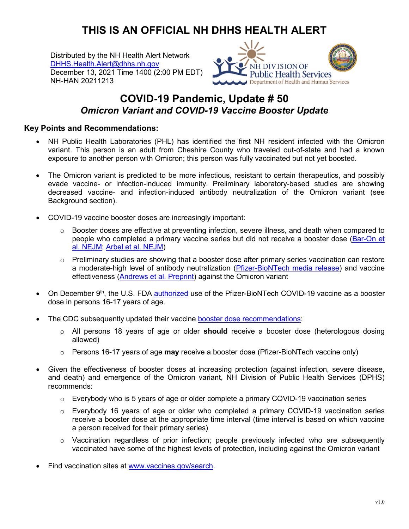## **THIS IS AN OFFICIAL NH DHHS HEALTH ALERT**

Distributed by the NH Health Alert Network [DHHS.Health.Alert@dhhs.nh.gov](mailto:DHHS.Health.Alert@dhhs.nh.gov) December 13, 2021 Time 1400 (2:00 PM EDT) NH-HAN 20211213



## **COVID-19 Pandemic, Update # 50** *Omicron Variant and COVID-19 Vaccine Booster Update*

## **Key Points and Recommendations:**

- NH Public Health Laboratories (PHL) has identified the first NH resident infected with the Omicron variant. This person is an adult from Cheshire County who traveled out-of-state and had a known exposure to another person with Omicron; this person was fully vaccinated but not yet boosted.
- The Omicron variant is predicted to be more infectious, resistant to certain therapeutics, and possibly evade vaccine- or infection-induced immunity. Preliminary laboratory-based studies are showing decreased vaccine- and infection-induced antibody neutralization of the Omicron variant (see Background section).
- COVID-19 vaccine booster doses are increasingly important:
	- $\circ$  Booster doses are effective at preventing infection, severe illness, and death when compared to people who completed a primary vaccine series but did not receive a booster dose [\(Bar-On et](https://www.nejm.org/doi/full/10.1056/NEJMoa2115926)  [al. NEJM;](https://www.nejm.org/doi/full/10.1056/NEJMoa2115926) [Arbel et al. NEJM\)](https://www.nejm.org/doi/full/10.1056/NEJMoa2115624)
	- $\circ$  Preliminary studies are showing that a booster dose after primary series vaccination can restore a moderate-high level of antibody neutralization [\(Pfizer-BioNTech media release\)](https://www.pfizer.com/news/press-release/press-release-detail/pfizer-and-biontech-provide-update-omicron-variant) and vaccine effectiveness [\(Andrews et al. Preprint\)](https://khub.net/documents/135939561/430986542/Effectiveness+of+COVID-19+vaccines+against+Omicron+variant+of+concern.pdf/f423c9f4-91cb-0274-c8c5-70e8fad50074) against the Omicron variant
- On December 9<sup>th</sup>, the U.S. FDA [authorized](https://www.fda.gov/news-events/press-announcements/coronavirus-covid-19-update-fda-expands-eligibility-pfizer-biontech-covid-19-booster-dose-16-and-17) use of the Pfizer-BioNTech COVID-19 vaccine as a booster dose in persons 16-17 years of age.
- The CDC subsequently updated their vaccine [booster dose recommendations:](https://www.cdc.gov/vaccines/covid-19/clinical-considerations/covid-19-vaccines-us.html#booster-dose)
	- o All persons 18 years of age or older **should** receive a booster dose (heterologous dosing allowed)
	- o Persons 16-17 years of age **may** receive a booster dose (Pfizer-BioNTech vaccine only)
- Given the effectiveness of booster doses at increasing protection (against infection, severe disease, and death) and emergence of the Omicron variant, NH Division of Public Health Services (DPHS) recommends:
	- $\circ$  Everybody who is 5 years of age or older complete a primary COVID-19 vaccination series
	- $\circ$  Everybody 16 years of age or older who completed a primary COVID-19 vaccination series receive a booster dose at the appropriate time interval (time interval is based on which vaccine a person received for their primary series)
	- $\circ$  Vaccination regardless of prior infection; people previously infected who are subsequently vaccinated have some of the highest levels of protection, including against the Omicron variant
- Find vaccination sites at [www.vaccines.gov/search.](http://www.vaccines.gov/search)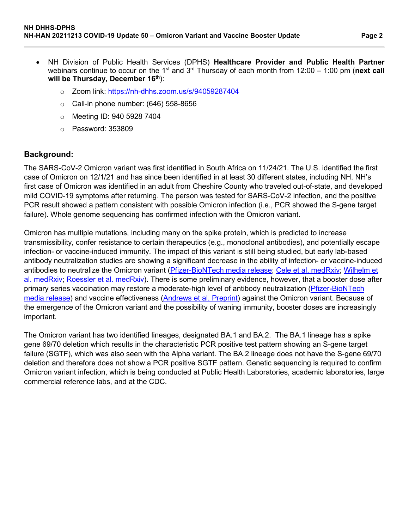- NH Division of Public Health Services (DPHS) **Healthcare Provider and Public Health Partner** webinars continue to occur on the 1<sup>st</sup> and 3<sup>rd</sup> Thursday of each month from 12:00 – 1:00 pm (next call **will be Thursday, December 16th**):
	- o Zoom link:<https://nh-dhhs.zoom.us/s/94059287404>
	- $\circ$  Call-in phone number: (646) 558-8656
	- o Meeting ID: 940 5928 7404
	- o Password: 353809

## **Background:**

The SARS-CoV-2 Omicron variant was first identified in South Africa on 11/24/21. The U.S. identified the first case of Omicron on 12/1/21 and has since been identified in at least 30 different states, including NH. NH's first case of Omicron was identified in an adult from Cheshire County who traveled out-of-state, and developed mild COVID-19 symptoms after returning. The person was tested for SARS-CoV-2 infection, and the positive PCR result showed a pattern consistent with possible Omicron infection (i.e., PCR showed the S-gene target failure). Whole genome sequencing has confirmed infection with the Omicron variant.

Omicron has multiple mutations, including many on the spike protein, which is predicted to increase transmissibility, confer resistance to certain therapeutics (e.g., monoclonal antibodies), and potentially escape infection- or vaccine-induced immunity. The impact of this variant is still being studied, but early lab-based antibody neutralization studies are showing a significant decrease in the ability of infection- or vaccine-induced antibodies to neutralize the Omicron variant (*Pfizer-BioNTech media release; [Cele et al. medRxiv;](https://www.medrxiv.org/content/10.1101/2021.12.08.21267417v2) Wilhelm et* [al. medRxiv;](https://www.medrxiv.org/content/10.1101/2021.12.07.21267432v3) [Roessler et al. medRxiv\)](https://www.medrxiv.org/content/10.1101/2021.12.08.21267491v1). There is some preliminary evidence, however, that a booster dose after primary series vaccination may restore a moderate-high level of antibody neutralization [\(Pfizer-BioNTech](https://www.pfizer.com/news/press-release/press-release-detail/pfizer-and-biontech-provide-update-omicron-variant)  [media release\)](https://www.pfizer.com/news/press-release/press-release-detail/pfizer-and-biontech-provide-update-omicron-variant) and vaccine effectiveness [\(Andrews et al. Preprint\)](https://khub.net/documents/135939561/430986542/Effectiveness+of+COVID-19+vaccines+against+Omicron+variant+of+concern.pdf/f423c9f4-91cb-0274-c8c5-70e8fad50074) against the Omicron variant. Because of the emergence of the Omicron variant and the possibility of waning immunity, booster doses are increasingly important.

The Omicron variant has two identified lineages, designated BA.1 and BA.2. The BA.1 lineage has a spike gene 69/70 deletion which results in the characteristic PCR positive test pattern showing an S-gene target failure (SGTF), which was also seen with the Alpha variant. The BA.2 lineage does not have the S-gene 69/70 deletion and therefore does not show a PCR positive SGTF pattern. Genetic sequencing is required to confirm Omicron variant infection, which is being conducted at Public Health Laboratories, academic laboratories, large commercial reference labs, and at the CDC.